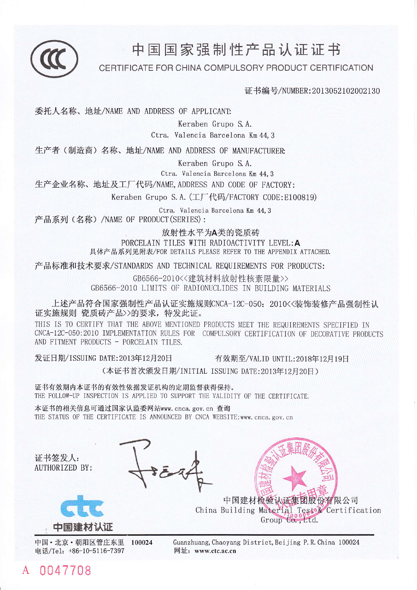

# 中 国 国 家 强 制 性 产 品 认 证 证 书

CERTIFICATE FOR CHINA COMPULSORY PRODUCT CERTIFICATION

证书编号/NUMBER: 2013052102002130

委托人名称、地址/NAME AND ADDRESS OF APPLICANT:

Keraben Grupo S.A.

Ctra. Valencia Barcelona Km 44.3

生产者(制造商)名称、地址/NAME AND ADDRESS OF MANUFACTURER

Keraben Grupo S.A.

Ctra. Valencia Barcelona Km 44.3

生产企业名称、地址及工厂代码/NAME, ADDRESS AND CODE OF FACTORY:

Keraben Grupo S.A. (工厂代码/FACTORY CODE:E100819)

Ctra. Valencia Barcelona Km 44.3 产品系列 (名称) /NAME OF PRODUCT (SERIES):

放射性水平为A类的瓷质砖

PORCELAIN TILES WITH RADIOACTIVITY LEVEL: A 具体产品系列见附表/FOR DETAILS PLEASE REFER TO THE APPENDIX ATTACHED.

产品标准和技术要求/STANDARDS AND TECHNICAL REQUIREMENTS FOR PRODUCTS:

GB6566-2010<<建筑材料放射性核素限量>> GB6566-2010 LIMITS OF RADIONUCLIDES IN BUILDING MATERIALS

上述产品符合国家强制性产品认证实施规则CNCA-12C-050: 2010<<装饰装修产品强制性认 证实施规则 瓷质砖产品>>的要求,特发此证。

THIS IS TO CERTIFY THAT THE ABOVE MENTIONED PRODUCTS MEET THE REQUIREMENTS SPECIFIED IN CNCA-12C-050:2010 IMPLEMENTATION RULES FOR COMPULSORY CERTIFICATION OF DECORATIVE PRODUCTS AND FITMENT PRODUCTS - PORCELAIN TILES.

发证日期/ISSUING DATE: 2013年12月20日

有效期至/VALID UNTIL:2018年12月19日

(本证书首次颁发日期/INITIAL ISSUING DATE:2013年12月20日)

证书有效期内本证书的有效性依据发证机构的定期监督获得保持。 THE FOLLOW-UP INSPECTION IS APPLIED TO SUPPORT THE VALIDITY OF THE CERTIFICATE.

本证书的相关信息可通过国家认监委网站www.cnca.gov.cn 查询 THE STATUS OF THE CERTIFICATE IS ANNOUNCED BY CNCA WEBSITE: www.cnca.gov.cn

证书签发人: **AUTHORIZED BY:** 

0047708





中国·北京·朝阳区管庄东里 100024 电话/Tel: +86-10-5116-7397

Guanzhuang, Chaoyang District, Beijing P. R. China 100024 网址: www.ctc.ac.cn

中国建材检验认证集团股份有限公司 China Building Material Test & Certification Group Co., Ltd.